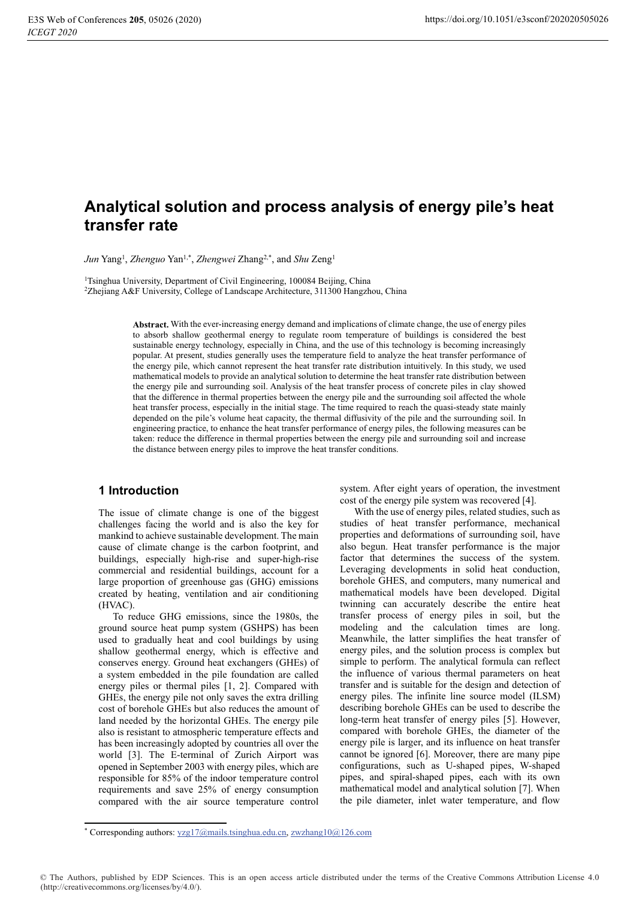# Analytical solution and process analysis of energy pile's heat **transfer rate**

Jun Yang<sup>1</sup>, Zhenguo Yan<sup>1,\*</sup>, Zhengwei Zhang<sup>2,\*</sup>, and Shu Zeng<sup>1</sup>

<sup>1</sup>Tsinghua University, Department of Civil Engineering, 100084 Beijing, China  ${}^{2}Z$ hejiang A&F University, College of Landscape Architecture, 311300 Hangzhou, China

> **Abstract.** With the ever-increasing energy demand and implications of climate change, the use of energy piles to absorb shallow geothermal energy to regulate room temperature of buildings is considered the best sustainable energy technology, especially in China, and the use of this technology is becoming increasingly popular. At present, studies generally uses the temperature field to analyze the heat transfer performance of the energy pile, which cannot represent the heat transfer rate distribution intuitively. In this study, we used mathematical models to provide an analytical solution to determine the heat transfer rate distribution between the energy pile and surrounding soil. Analysis of the heat transfer process of concrete piles in clay showed that the difference in thermal properties between the energy pile and the surrounding soil affected the whole heat transfer process, especially in the initial stage. The time required to reach the quasi-steady state mainly depended on the pile's volume heat capacity, the thermal diffusivity of the pile and the surrounding soil. In engineering practice, to enhance the heat transfer performance of energy piles, the following measures can be taken: reduce the difference in thermal properties between the energy pile and surrounding soil and increase the distance between energy piles to improve the heat transfer conditions.

## 1 Introduction

The issue of climate change is one of the biggest challenges facing the world and is also the key for mankind to achieve sustainable development. The main cause of climate change is the carbon footprint, and buildings, especially high-rise and super-high-rise commercial and residential buildings, account for a large proportion of greenhouse gas (GHG) emissions created by heating, ventilation and air conditioning  $(HVAC)$ .

To reduce GHG emissions, since the 1980s, the ground source heat pump system (GSHPS) has been used to gradually heat and cool buildings by using shallow geothermal energy, which is effective and conserves energy. Ground heat exchangers (GHEs) of a system embedded in the pile foundation are called energy piles or thermal piles [1, 2]. Compared with GHEs, the energy pile not only saves the extra drilling cost of borehole GHEs but also reduces the amount of land needed by the horizontal GHEs. The energy pile also is resistant to atmospheric temperature effects and has been increasingly adopted by countries all over the world [3]. The E-terminal of Zurich Airport was opened in September 2003 with energy piles, which are responsible for 85% of the indoor temperature control requirements and save  $25%$  of energy consumption compared with the air source temperature control system. After eight years of operation, the investment  $\cos t$  of the energy pile system was recovered [4].

With the use of energy piles, related studies, such as studies of heat transfer performance, mechanical properties and deformations of surrounding soil, have also begun. Heat transfer performance is the major factor that determines the success of the system. Leveraging developments in solid heat conduction, borehole GHES, and computers, many numerical and mathematical models have been developed. Digital twinning can accurately describe the entire heat transfer process of energy piles in soil, but the modeling and the calculation times are long. Meanwhile, the latter simplifies the heat transfer of energy piles, and the solution process is complex but simple to perform. The analytical formula can reflect the influence of various thermal parameters on heat transfer and is suitable for the design and detection of energy piles. The infinite line source model  $(ILSM)$ describing borehole GHEs can be used to describe the long-term heat transfer of energy piles [5]. However, compared with borehole GHEs, the diameter of the energy pile is larger, and its influence on heat transfer cannot be ignored [6]. Moreover, there are many pipe configurations, such as U-shaped pipes, W-shaped pipes, and spiral-shaped pipes, each with its own mathematical model and analytical solution [7]. When the pile diameter, inlet water temperature, and flow

© The Authors, published by EDP Sciences. This is an open access article distributed under the terms of the Creative Commons Attribution License 4.0 (http://creativecommons.org/licenses/by/4.0/).

<sup>\*</sup> Corresponding authors:  $vzg17@$  mails.tsinghua.edu.cn, zwzhang10 $@126$ .com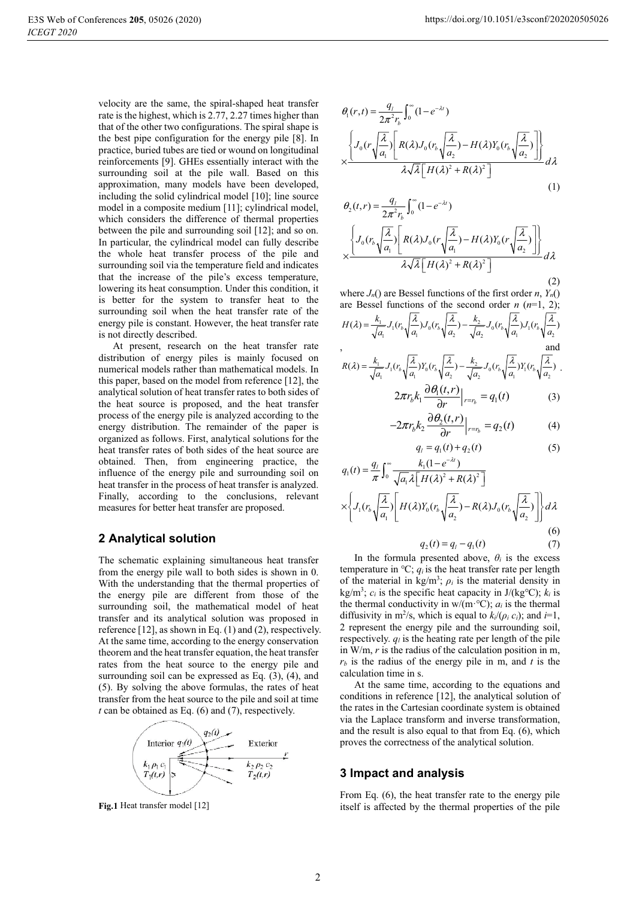velocity are the same, the spiral-shaped heat transfer rate is the highest, which is 2.77, 2.27 times higher than that of the other two configurations. The spiral shape is the best pipe configuration for the energy pile [8]. In practice, buried tubes are tied or wound on longitudinal reinforcements [9]. GHEs essentially interact with the surrounding soil at the pile wall. Based on this approximation, many models have been developed, including the solid cylindrical model [10]; line source model in a composite medium [11]; cylindrical model, which considers the difference of thermal properties between the pile and surrounding soil [12]; and so on. In particular, the cylindrical model can fully describe the whole heat transfer process of the pile and surrounding soil via the temperature field and indicates that the increase of the pile's excess temperature, lowering its heat consumption. Under this condition, it is better for the system to transfer heat to the surrounding soil when the heat transfer rate of the energy pile is constant. However, the heat transfer rate is not directly described.

At present, research on the heat transfer rate distribution of energy piles is mainly focused on numerical models rather than mathematical models. In this paper, based on the model from reference [12], the analytical solution of heat transfer rates to both sides of the heat source is proposed, and the heat transfer process of the energy pile is analyzed according to the energy distribution. The remainder of the paper is organized as follows. First, analytical solutions for the heat transfer rates of both sides of the heat source are obtained. Then, from engineering practice, the influence of the energy pile and surrounding soil on heat transfer in the process of heat transfer is analyzed. Finally, according to the conclusions, relevant measures for better heat transfer are proposed.

#### **2 Analytical solution**

The schematic explaining simultaneous heat transfer from the energy pile wall to both sides is shown in 0. With the understanding that the thermal properties of the energy pile are different from those of the surrounding soil, the mathematical model of heat transfer and its analytical solution was proposed in reference  $[12]$ , as shown in Eq.  $(1)$  and  $(2)$ , respectively. At the same time, according to the energy conservation theorem and the heat transfer equation, the heat transfer rates from the heat source to the energy pile and surrounding soil can be expressed as Eq.  $(3)$ ,  $(4)$ , and (5). By solving the above formulas, the rates of heat transfer from the heat source to the pile and soil at time  $t$  can be obtained as Eq. (6) and (7), respectively.



Fig.1 Heat transfer model [12]

$$
\theta_1(r,t) = \frac{q_1}{2\pi^2 r_b} \int_0^r (1 - e^{-\lambda t})
$$
\n
$$
\times \frac{\left\{ J_0(r \sqrt{\frac{\lambda}{a_1}}) \left[ R(\lambda) J_0(r_b \sqrt{\frac{\lambda}{a_2}}) - H(\lambda) Y_0(r_b \sqrt{\frac{\lambda}{a_2}}) \right] \right\}}{\lambda \sqrt{\lambda} \left[ H(\lambda)^2 + R(\lambda)^2 \right]} d\lambda
$$
\n(1)

$$
\theta_2(t,r) = \frac{q_i}{2\pi^2 r_b} \int_0^\infty (1 - e^{-\lambda t})
$$
\n
$$
\times \frac{\left\{ J_0(r_b \sqrt{\frac{\lambda}{a_1}}) \left[ R(\lambda) J_0(r \sqrt{\frac{\lambda}{a_1}}) - H(\lambda) Y_0(r \sqrt{\frac{\lambda}{a_2}}) \right] \right\}}{\lambda \sqrt{\lambda} \left[ H(\lambda)^2 + R(\lambda)^2 \right]} d\lambda
$$

$$
^{(2)}
$$

where  $J_n()$  are Bessel functions of the first order *n*,  $Y_n()$ are Bessel functions of the second order  $n(n=1, 2)$ ;

$$
H(\lambda) = \frac{k_1}{\sqrt{a_1}} J_1(r_b \sqrt{\frac{\lambda}{a_1}}) J_0(r_b \sqrt{\frac{\lambda}{a_2}}) - \frac{k_2}{\sqrt{a_2}} J_0(r_b \sqrt{\frac{\lambda}{a_1}}) J_1(r_b \sqrt{\frac{\lambda}{a_2}})
$$
\nand\n
$$
R(\lambda) = \frac{k_1}{\sqrt{a_1}} J_1(r_b \sqrt{\frac{\lambda}{a_1}}) Y_0(r_b \sqrt{\frac{\lambda}{a_2}}) - \frac{k_2}{\sqrt{a_2}} J_0(r_b \sqrt{\frac{\lambda}{a_1}}) Y_1(r_b \sqrt{\frac{\lambda}{a_2}}).
$$

$$
2\pi r_b k_1 \frac{\partial \theta_1(t, r)}{\partial r}\Big|_{r=r_b} = q_1(t) \tag{3}
$$

$$
-2\pi r_b k_2 \frac{\partial \theta_2(t,r)}{\partial r}\Big|_{r=r_b} = q_2(t) \tag{4}
$$

$$
q_1 = q_1(t) + q_2(t)
$$
 (5)

$$
q_1(t) = \frac{q_1}{\pi} \int_0^\infty \frac{k_1(t-e^{-t})}{\sqrt{a_1} \lambda [H(\lambda)^2 + R(\lambda)^2]}
$$
  
 
$$
\times \left\{ J_1(r_b \sqrt{\frac{\lambda}{a_1}}) \left[ H(\lambda) Y_0(r_b \sqrt{\frac{\lambda}{a_2}}) - R(\lambda) J_0(r_b \sqrt{\frac{\lambda}{a_2}}) \right] \right\} d\lambda
$$
  
(6)

$$
q_2(t) = q_1 - q_1(t) \tag{7}
$$

In the formula presented above,  $\theta_i$  is the excess temperature in  ${}^{\circ}C$ ;  $q_i$  is the heat transfer rate per length of the material in kg/m<sup>3</sup>;  $\rho_i$  is the material density in kg/m<sup>3</sup>;  $c_i$  is the specific heat capacity in J/(kg<sup>o</sup>C);  $k_i$  is the thermal conductivity in  $w/(m \cdot C)$ ;  $a_i$  is the thermal diffusivity in m<sup>2</sup>/s, which is equal to  $k_i/(\rho_i c_i)$ ; and  $i=1$ , 2 represent the energy pile and the surrounding soil, respectively.  $q_l$  is the heating rate per length of the pile in  $W/m$ , r is the radius of the calculation position in m.  $r_b$  is the radius of the energy pile in m, and t is the calculation time in s.

At the same time, according to the equations and conditions in reference [12], the analytical solution of the rates in the Cartesian coordinate system is obtained via the Laplace transform and inverse transformation, and the result is also equal to that from Eq.  $(6)$ , which proves the correctness of the analytical solution.

#### 3 Impact and analysis

From Eq.  $(6)$ , the heat transfer rate to the energy pile itself is affected by the thermal properties of the pile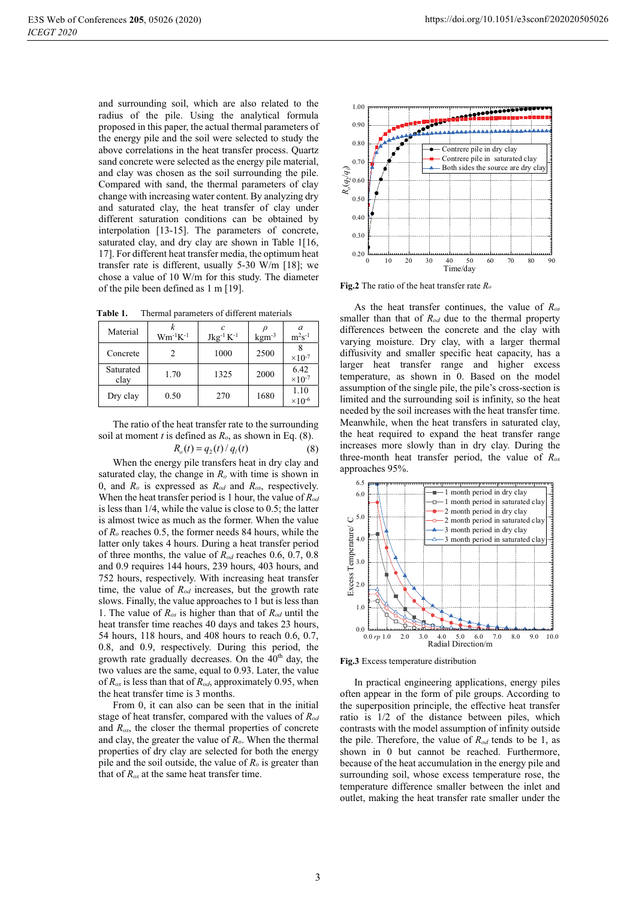clay

Dry clay

and surrounding soil, which are also related to the radius of the pile. Using the analytical formula proposed in this paper, the actual thermal parameters of the energy pile and the soil were selected to study the above correlations in the heat transfer process. Quartz sand concrete were selected as the energy pile material, and clay was chosen as the soil surrounding the pile. Compared with sand, the thermal parameters of clay change with increasing water content. By analyzing dry and saturated clay, the heat transfer of clay under different saturation conditions can be obtained by interpolation [13-15]. The parameters of concrete, saturated clay, and dry clay are shown in Table 1[16, 17]. For different heat transfer media, the optimum heat transfer rate is different, usually  $5-30$  W/m [18]; we chose a value of 10 W/m for this study. The diameter of the pile been defined as 1 m [19].

| Material  | $Wm^{-1}K^{-1}$ | $Jkg^{-1} K^{-1}$ | $\mathrm{kgm}^{-3}$ | $m^2s^{-1}$               |
|-----------|-----------------|-------------------|---------------------|---------------------------|
| Concrete  |                 | 1000              | 2500                | $\times$ 10 <sup>-7</sup> |
| Saturated | 1.70            | 1225              | 2000                | 6.42                      |

Table 1. Thermal parameters of different materials

 $0.50$ 

The ratio of the heat transfer rate to the surrounding soil at moment *t* is defined as  $R_o$ , as shown in Eq. (8).

 $270$ 

 $R_o(t) = q_2(t)/q_1(t)$ 

1680

 $\times$ 10<sup>-7</sup>

 $110$ 

 $\times 10^{-6}$ 

When the energy pile transfers heat in dry clay and saturated clay, the change in  $R_0$  with time is shown in 0, and  $R_o$  is expressed as  $R_{od}$  and  $R_{os}$ , respectively. When the heat transfer period is 1 hour, the value of  $R_{od}$ is less than  $1/4$ , while the value is close to 0.5; the latter is almost twice as much as the former. When the value of  $R_0$  reaches 0.5, the former needs 84 hours, while the latter only takes 4 hours. During a heat transfer period of three months, the value of  $R_{od}$  reaches 0.6, 0.7, 0.8 and 0.9 requires 144 hours, 239 hours, 403 hours, and 752 hours, respectively. With increasing heat transfer time, the value of  $R_{od}$  increases, but the growth rate slows. Finally, the value approaches to 1 but is less than 1. The value of  $R_{os}$  is higher than that of  $R_{od}$  until the heat transfer time reaches 40 days and takes 23 hours, 54 hours, 118 hours, and 408 hours to reach 0.6, 0.7, 0.8, and 0.9, respectively. During this period, the growth rate gradually decreases. On the 40<sup>th</sup> day, the two values are the same, equal to 0.93. Later, the value of  $R_{os}$  is less than that of  $R_{od}$ , approximately 0.95, when the heat transfer time is 3 months.

From 0, it can also can be seen that in the initial stage of heat transfer, compared with the values of  $R_{od}$ and  $R_{os}$ , the closer the thermal properties of concrete and clay, the greater the value of  $R_o$ . When the thermal properties of dry clay are selected for both the energy pile and the soil outside, the value of  $R_o$  is greater than that of  $R_{os}$  at the same heat transfer time.



Fig.2 The ratio of the heat transfer rate  $R_o$ 

As the heat transfer continues, the value of  $R_{os}$ smaller than that of  $R_{od}$  due to the thermal property differences between the concrete and the clay with varying moisture. Dry clay, with a larger thermal diffusivity and smaller specific heat capacity, has a larger heat transfer range and higher excess temperature, as shown in 0. Based on the model assumption of the single pile, the pile's cross-section is limited and the surrounding soil is infinity, so the heat needed by the soil increases with the heat transfer time. Meanwhile, when the heat transfers in saturated clay. the heat required to expand the heat transfer range increases more slowly than in dry clay. During the three-month heat transfer period, the value of  $R_{os}$ approaches 95%.



Fig.3 Excess temperature distribution

In practical engineering applications, energy piles often appear in the form of pile groups. According to the superposition principle, the effective heat transfer ratio is 1/2 of the distance between piles, which contrasts with the model assumption of infinity outside the pile. Therefore, the value of  $R_{od}$  tends to be 1, as shown in 0 but cannot be reached. Furthermore, because of the heat accumulation in the energy pile and surrounding soil, whose excess temperature rose, the temperature difference smaller between the inlet and outlet, making the heat transfer rate smaller under the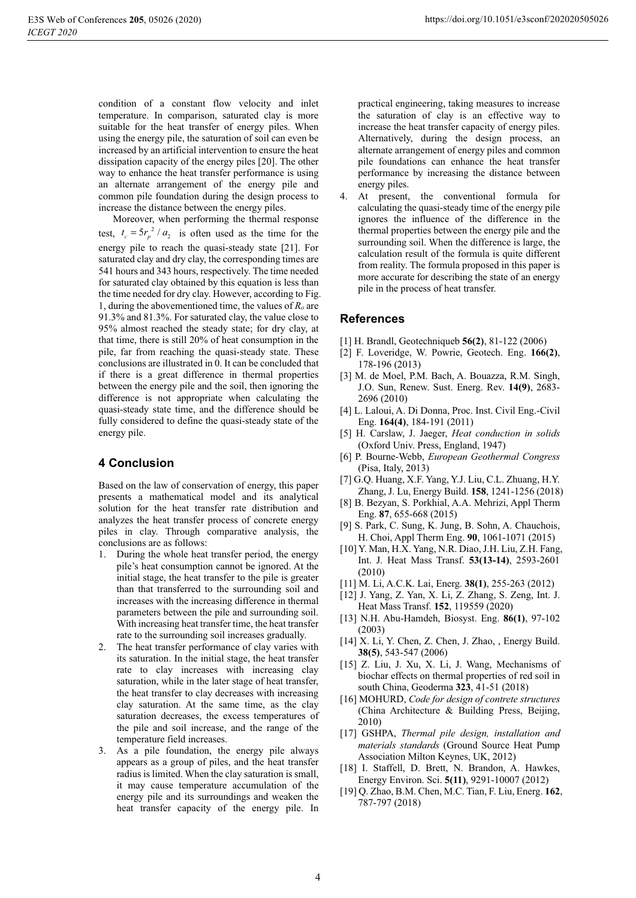condition of a constant flow velocity and inlet temperature. In comparison, saturated clay is more suitable for the heat transfer of energy piles. When using the energy pile, the saturation of soil can even be increased by an artificial intervention to ensure the heat dissipation capacity of the energy piles [20]. The other way to enhance the heat transfer performance is using an alternate arrangement of the energy pile and common pile foundation during the design process to increase the distance between the energy piles.

Moreover, when performing the thermal response test,  $t_c = 5r_p^2/a_2$  is often used as the time for the energy pile to reach the quasi-steady state [21]. For saturated clay and dry clay, the corresponding times are 541 hours and 343 hours, respectively. The time needed for saturated clay obtained by this equation is less than the time needed for dry clay. However, according to Fig. 1. during the abovementioned time, the values of  $R_0$  are 91.3% and 81.3%. For saturated clay, the value close to 95% almost reached the steady state; for dry clay, at that time, there is still 20% of heat consumption in the pile, far from reaching the quasi-steady state. These conclusions are illustrated in 0. It can be concluded that if there is a great difference in thermal properties between the energy pile and the soil, then ignoring the difference is not appropriate when calculating the quasi-steady state time, and the difference should be fully considered to define the quasi-steady state of the energy pile.

### **4 Conclusion**

Based on the law of conservation of energy, this paper presents a mathematical model and its analytical solution for the heat transfer rate distribution and analyzes the heat transfer process of concrete energy piles in clay. Through comparative analysis, the conclusions are as follows:

- 1. During the whole heat transfer period, the energy pile's heat consumption cannot be ignored. At the initial stage, the heat transfer to the pile is greater than that transferred to the surrounding soil and increases with the increasing difference in thermal parameters between the pile and surrounding soil. With increasing heat transfer time, the heat transfer rate to the surrounding soil increases gradually.
- 2. The heat transfer performance of clay varies with its saturation. In the initial stage, the heat transfer rate to clay increases with increasing clay saturation, while in the later stage of heat transfer, the heat transfer to clay decreases with increasing clay saturation. At the same time, as the clay saturation decreases, the excess temperatures of the pile and soil increase, and the range of the temperature field increases.
- 3. As a pile foundation, the energy pile always appears as a group of piles, and the heat transfer radius is limited. When the clay saturation is small, it may cause temperature accumulation of the energy pile and its surroundings and weaken the heat transfer capacity of the energy pile. In

practical engineering, taking measures to increase the saturation of clay is an effective way to increase the heat transfer capacity of energy piles. Alternatively, during the design process, an alternate arrangement of energy piles and common pile foundations can enhance the heat transfer performance by increasing the distance between energy piles.

4. At present, the conventional formula for calculating the quasi-steady time of the energy pile ignores the influence of the difference in the thermal properties between the energy pile and the surrounding soil. When the difference is large, the calculation result of the formula is quite different from reality. The formula proposed in this paper is more accurate for describing the state of an energy pile in the process of heat transfer.

#### **References**

- [1] H. Brandl, Geotechniqueb 56(2), 81-122 (2006)
- [2] F. Loveridge, W. Powrie, Geotech. Eng. 166(2), 178-196 (2013)
- [3] M. de Moel, P.M. Bach, A. Bouazza, R.M. Singh, J.O. Sun, Renew. Sust. Energ. Rev. 14(9), 2683-2696 (2010)
- [4] L. Laloui, A. Di Donna, Proc. Inst. Civil Eng.-Civil Eng. 164(4), 184-191 (2011)
- [5] H. Carslaw, J. Jaeger, Heat conduction in solids (Oxford Univ. Press, England, 1947)
- [6] P. Bourne-Webb, European Geothermal Congress (Pisa, Italy, 2013)
- [7] G.Q. Huang, X.F. Yang, Y.J. Liu, C.L. Zhuang, H.Y. Zhang, J. Lu, Energy Build. 158, 1241-1256 (2018)
- [8] B. Bezvan, S. Porkhial, A.A. Mehrizi, Appl Therm Eng. 87, 655-668 (2015)
- S. Park, C. Sung, K. Jung, B. Sohn, A. Chauchois, H. Choi, Appl Therm Eng. 90, 1061-1071 (2015)
- [10] Y. Man, H.X. Yang, N.R. Diao, J.H. Liu, Z.H. Fang, Int. J. Heat Mass Transf. 53(13-14), 2593-2601  $(2010)$
- [11] M. Li, A.C.K. Lai, Energ. 38(1), 255-263 (2012)
- [12] J. Yang, Z. Yan, X. Li, Z. Zhang, S. Zeng, Int. J. Heat Mass Transf. 152, 119559 (2020)
- [13] N.H. Abu-Hamdeh, Biosyst. Eng. 86(1), 97-102  $(2003)$
- [14] X. Li, Y. Chen, Z. Chen, J. Zhao, , Energy Build. 38(5), 543-547 (2006)
- [15] Z. Liu, J. Xu, X. Li, J. Wang, Mechanisms of biochar effects on thermal properties of red soil in south China, Geoderma 323, 41-51 (2018)
- [16] MOHURD, Code for design of contrete structures (China Architecture & Building Press, Beijing, 2010)
- [17] GSHPA, Thermal pile design, installation and materials standards (Ground Source Heat Pump Association Milton Keynes, UK, 2012)
- [18] I. Staffell, D. Brett, N. Brandon, A. Hawkes, Energy Environ. Sci. 5(11), 9291-10007 (2012)
- [19] Q. Zhao, B.M. Chen, M.C. Tian, F. Liu, Energ. 162, 787-797 (2018)